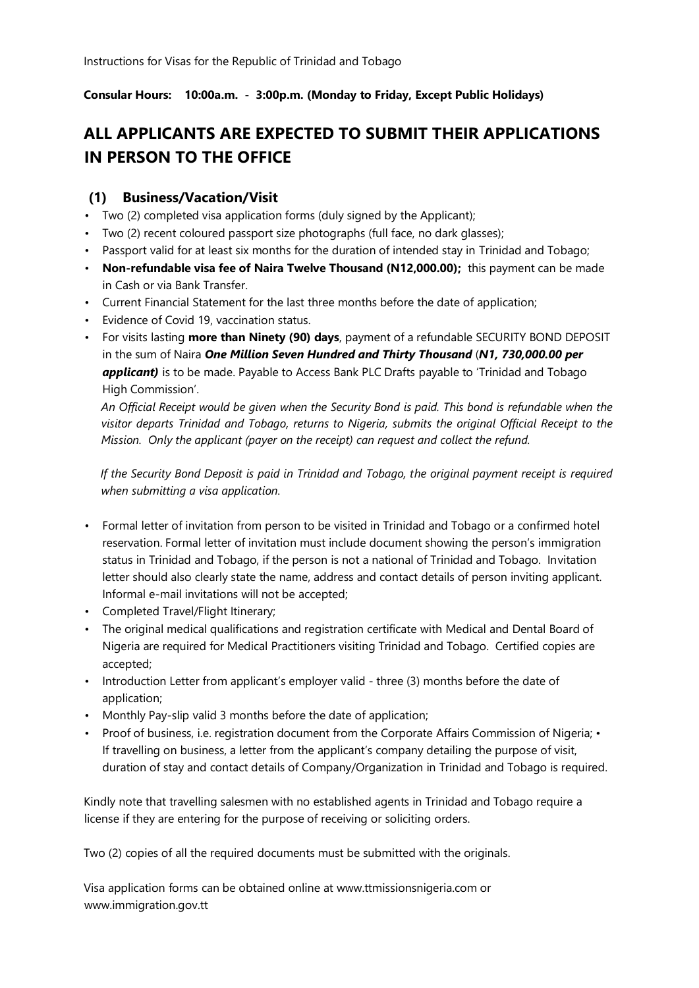**Consular Hours: 10:00a.m. - 3:00p.m. (Monday to Friday, Except Public Holidays)** 

# **ALL APPLICANTS ARE EXPECTED TO SUBMIT THEIR APPLICATIONS IN PERSON TO THE OFFICE**

### **(1) Business/Vacation/Visit**

- Two (2) completed visa application forms (duly signed by the Applicant);
- Two (2) recent coloured passport size photographs (full face, no dark glasses);
- Passport valid for at least six months for the duration of intended stay in Trinidad and Tobago;
- **Non-refundable visa fee of Naira Twelve Thousand (N12,000.00);** this payment can be made in Cash or via Bank Transfer.
- Current Financial Statement for the last three months before the date of application;
- Evidence of Covid 19, vaccination status.
- For visits lasting **more than Ninety (90) days**, payment of a refundable SECURITY BOND DEPOSIT in the sum of Naira *One Million Seven Hundred and Thirty Thousand* (*N1, 730,000.00 per applicant)* is to be made. Payable to Access Bank PLC Drafts payable to 'Trinidad and Tobago High Commission'.

*An Official Receipt would be given when the Security Bond is paid. This bond is refundable when the visitor departs Trinidad and Tobago, returns to Nigeria, submits the original Official Receipt to the Mission. Only the applicant (payer on the receipt) can request and collect the refund.* 

*If the Security Bond Deposit is paid in Trinidad and Tobago, the original payment receipt is required when submitting a visa application.* 

- Formal letter of invitation from person to be visited in Trinidad and Tobago or a confirmed hotel reservation. Formal letter of invitation must include document showing the person's immigration status in Trinidad and Tobago, if the person is not a national of Trinidad and Tobago. Invitation letter should also clearly state the name, address and contact details of person inviting applicant. Informal e-mail invitations will not be accepted;
- Completed Travel/Flight Itinerary;
- The original medical qualifications and registration certificate with Medical and Dental Board of Nigeria are required for Medical Practitioners visiting Trinidad and Tobago. Certified copies are accepted;
- Introduction Letter from applicant's employer valid three (3) months before the date of application;
- Monthly Pay-slip valid 3 months before the date of application;
- Proof of business, i.e. registration document from the Corporate Affairs Commission of Nigeria; If travelling on business, a letter from the applicant's company detailing the purpose of visit, duration of stay and contact details of Company/Organization in Trinidad and Tobago is required.

Kindly note that travelling salesmen with no established agents in Trinidad and Tobago require a license if they are entering for the purpose of receiving or soliciting orders.

Two (2) copies of all the required documents must be submitted with the originals.

Visa application forms can be obtained online at www.ttmissionsnigeria.com or www.immigration.gov.tt